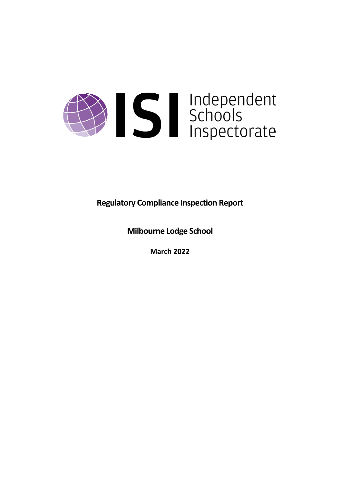

**Regulatory Compliance Inspection Report**

**Milbourne Lodge School**

**March 2022**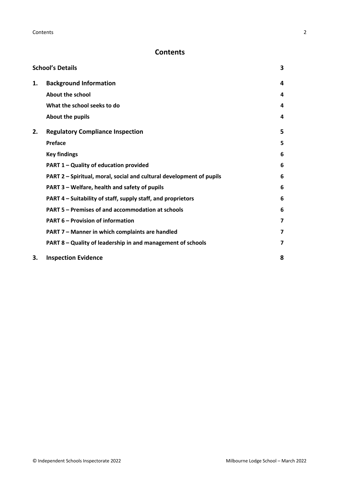# **Contents**

| <b>School's Details</b> |                                                                      |   |
|-------------------------|----------------------------------------------------------------------|---|
| 1.                      | <b>Background Information</b>                                        | 4 |
|                         | <b>About the school</b>                                              | 4 |
|                         | What the school seeks to do                                          | 4 |
|                         | About the pupils                                                     | 4 |
| 2.                      | <b>Regulatory Compliance Inspection</b>                              | 5 |
|                         | <b>Preface</b>                                                       | 5 |
|                         | <b>Key findings</b>                                                  | 6 |
|                         | PART 1 - Quality of education provided                               | 6 |
|                         | PART 2 - Spiritual, moral, social and cultural development of pupils | 6 |
|                         | PART 3 - Welfare, health and safety of pupils                        | 6 |
|                         | PART 4 – Suitability of staff, supply staff, and proprietors         | 6 |
|                         | PART 5 - Premises of and accommodation at schools                    | 6 |
|                         | <b>PART 6 - Provision of information</b>                             | 7 |
|                         | PART 7 - Manner in which complaints are handled                      | 7 |
|                         | PART 8 - Quality of leadership in and management of schools          | 7 |
| 3.                      | <b>Inspection Evidence</b>                                           | 8 |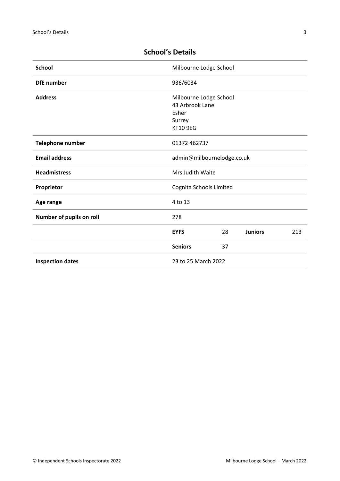| <b>School</b>            | Milbourne Lodge School                                                          |    |                |     |
|--------------------------|---------------------------------------------------------------------------------|----|----------------|-----|
| <b>DfE</b> number        | 936/6034                                                                        |    |                |     |
| <b>Address</b>           | Milbourne Lodge School<br>43 Arbrook Lane<br>Esher<br>Surrey<br><b>KT10 9EG</b> |    |                |     |
| <b>Telephone number</b>  | 01372 462737                                                                    |    |                |     |
| <b>Email address</b>     | admin@milbournelodge.co.uk                                                      |    |                |     |
| <b>Headmistress</b>      | Mrs Judith Waite                                                                |    |                |     |
| Proprietor               | Cognita Schools Limited                                                         |    |                |     |
| Age range                | 4 to 13                                                                         |    |                |     |
| Number of pupils on roll | 278                                                                             |    |                |     |
|                          | <b>EYFS</b>                                                                     | 28 | <b>Juniors</b> | 213 |
|                          | <b>Seniors</b>                                                                  | 37 |                |     |
| <b>Inspection dates</b>  | 23 to 25 March 2022                                                             |    |                |     |

# <span id="page-2-0"></span>**School's Details**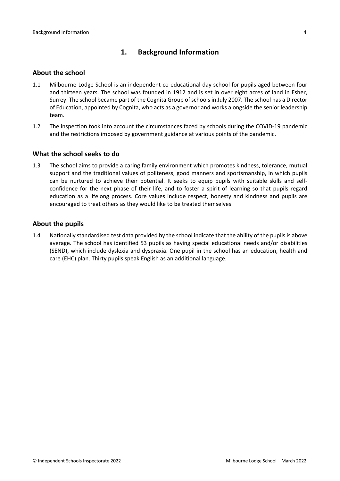# <span id="page-3-0"></span>**1. Background Information**

#### <span id="page-3-1"></span>**About the school**

- 1.1 Milbourne Lodge School is an independent co-educational day school for pupils aged between four and thirteen years. The school was founded in 1912 and is set in over eight acres of land in Esher, Surrey. The school became part of the Cognita Group of schools in July 2007. The school has a Director of Education, appointed by Cognita, who acts as a governor and works alongside the senior leadership team.
- 1.2 The inspection took into account the circumstances faced by schools during the COVID-19 pandemic and the restrictions imposed by government guidance at various points of the pandemic.

#### <span id="page-3-2"></span>**What the school seeks to do**

1.3 The school aims to provide a caring family environment which promotes kindness, tolerance, mutual support and the traditional values of politeness, good manners and sportsmanship, in which pupils can be nurtured to achieve their potential. It seeks to equip pupils with suitable skills and selfconfidence for the next phase of their life, and to foster a spirit of learning so that pupils regard education as a lifelong process. Core values include respect, honesty and kindness and pupils are encouraged to treat others as they would like to be treated themselves.

#### <span id="page-3-3"></span>**About the pupils**

1.4 Nationally standardised test data provided by the school indicate that the ability of the pupils is above average. The school has identified 53 pupils as having special educational needs and/or disabilities (SEND), which include dyslexia and dyspraxia. One pupil in the school has an education, health and care (EHC) plan. Thirty pupils speak English as an additional language.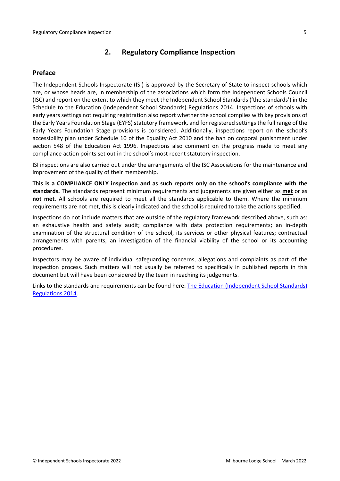# <span id="page-4-0"></span>**2. Regulatory Compliance Inspection**

## <span id="page-4-1"></span>**Preface**

The Independent Schools Inspectorate (ISI) is approved by the Secretary of State to inspect schools which are, or whose heads are, in membership of the associations which form the Independent Schools Council (ISC) and report on the extent to which they meet the Independent School Standards ('the standards') in the Schedule to the Education (Independent School Standards) Regulations 2014. Inspections of schools with early years settings not requiring registration also report whether the school complies with key provisions of the Early Years Foundation Stage (EYFS) statutory framework, and for registered settings the full range of the Early Years Foundation Stage provisions is considered. Additionally, inspections report on the school's accessibility plan under Schedule 10 of the Equality Act 2010 and the ban on corporal punishment under section 548 of the Education Act 1996. Inspections also comment on the progress made to meet any compliance action points set out in the school's most recent statutory inspection.

ISI inspections are also carried out under the arrangements of the ISC Associations for the maintenance and improvement of the quality of their membership.

**This is a COMPLIANCE ONLY inspection and as such reports only on the school's compliance with the standards.** The standards represent minimum requirements and judgements are given either as **met** or as **not met**. All schools are required to meet all the standards applicable to them. Where the minimum requirements are not met, this is clearly indicated and the school is required to take the actions specified.

Inspections do not include matters that are outside of the regulatory framework described above, such as: an exhaustive health and safety audit; compliance with data protection requirements; an in-depth examination of the structural condition of the school, its services or other physical features; contractual arrangements with parents; an investigation of the financial viability of the school or its accounting procedures.

Inspectors may be aware of individual safeguarding concerns, allegations and complaints as part of the inspection process. Such matters will not usually be referred to specifically in published reports in this document but will have been considered by the team in reaching its judgements.

Links to the standards and requirements can be found here: The Education [\(Independent](https://www.legislation.gov.uk/uksi/2014/3283/contents/made) School Standards) [Regulations](https://www.legislation.gov.uk/uksi/2014/3283/contents/made) 2014.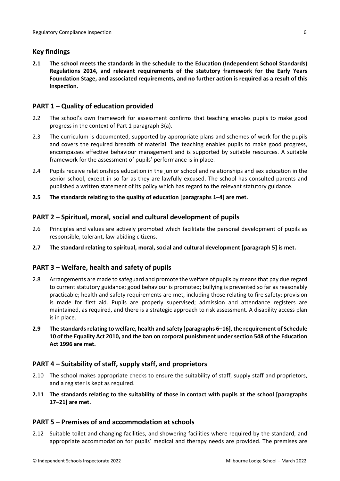## <span id="page-5-0"></span>**Key findings**

**2.1 The school meets the standards in the schedule to the Education (Independent School Standards) Regulations 2014, and relevant requirements of the statutory framework for the Early Years Foundation Stage, and associated requirements, and no further action is required as a result of this inspection.**

# <span id="page-5-1"></span>**PART 1 – Quality of education provided**

- 2.2 The school's own framework for assessment confirms that teaching enables pupils to make good progress in the context of Part 1 paragraph 3(a).
- 2.3 The curriculum is documented, supported by appropriate plans and schemes of work for the pupils and covers the required breadth of material. The teaching enables pupils to make good progress, encompasses effective behaviour management and is supported by suitable resources. A suitable framework for the assessment of pupils' performance is in place.
- 2.4 Pupils receive relationships education in the junior school and relationships and sex education in the senior school, except in so far as they are lawfully excused. The school has consulted parents and published a written statement of its policy which has regard to the relevant statutory guidance.
- **2.5 The standards relating to the quality of education [paragraphs 1–4] are met.**

## <span id="page-5-2"></span>**PART 2 – Spiritual, moral, social and cultural development of pupils**

- 2.6 Principles and values are actively promoted which facilitate the personal development of pupils as responsible, tolerant, law-abiding citizens.
- **2.7 The standard relating to spiritual, moral, social and cultural development [paragraph 5] is met.**

## <span id="page-5-3"></span>**PART 3 – Welfare, health and safety of pupils**

- 2.8 Arrangements are made to safeguard and promote the welfare of pupils by means that pay due regard to current statutory guidance; good behaviour is promoted; bullying is prevented so far as reasonably practicable; health and safety requirements are met, including those relating to fire safety; provision is made for first aid. Pupils are properly supervised; admission and attendance registers are maintained, as required, and there is a strategic approach to risk assessment. A disability access plan is in place.
- **2.9 The standardsrelating to welfare, health and safety [paragraphs 6–16], the requirement of Schedule 10 of the Equality Act 2010, and the ban on corporal punishment undersection 548 of the Education Act 1996 are met.**

## <span id="page-5-4"></span>**PART 4 – Suitability of staff, supply staff, and proprietors**

- 2.10 The school makes appropriate checks to ensure the suitability of staff, supply staff and proprietors, and a register is kept as required.
- **2.11 The standards relating to the suitability of those in contact with pupils at the school [paragraphs 17–21] are met.**

## <span id="page-5-5"></span>**PART 5 – Premises of and accommodation at schools**

2.12 Suitable toilet and changing facilities, and showering facilities where required by the standard, and appropriate accommodation for pupils' medical and therapy needs are provided. The premises are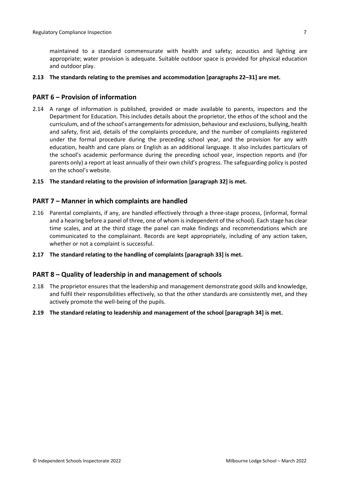maintained to a standard commensurate with health and safety; acoustics and lighting are appropriate; water provision is adequate. Suitable outdoor space is provided for physical education and outdoor play.

#### **2.13 The standards relating to the premises and accommodation [paragraphs 22–31] are met.**

### <span id="page-6-0"></span>**PART 6 – Provision of information**

2.14 A range of information is published, provided or made available to parents, inspectors and the Department for Education. This includes details about the proprietor, the ethos of the school and the curriculum, and of the school's arrangementsfor admission, behaviour and exclusions, bullying, health and safety, first aid, details of the complaints procedure, and the number of complaints registered under the formal procedure during the preceding school year, and the provision for any with education, health and care plans or English as an additional language. It also includes particulars of the school's academic performance during the preceding school year, inspection reports and (for parents only) a report at least annually of their own child's progress. The safeguarding policy is posted on the school's website.

#### **2.15 The standard relating to the provision of information [paragraph 32] is met.**

#### <span id="page-6-1"></span>**PART 7 – Manner in which complaints are handled**

- 2.16 Parental complaints, if any, are handled effectively through a three-stage process, (informal, formal and a hearing before a panel of three, one of whom is independent of the school). Each stage has clear time scales, and at the third stage the panel can make findings and recommendations which are communicated to the complainant. Records are kept appropriately, including of any action taken, whether or not a complaint is successful.
- **2.17 The standard relating to the handling of complaints [paragraph 33] is met.**

#### <span id="page-6-2"></span>**PART 8 – Quality of leadership in and management of schools**

- 2.18 The proprietor ensures that the leadership and management demonstrate good skills and knowledge, and fulfil their responsibilities effectively, so that the other standards are consistently met, and they actively promote the well-being of the pupils.
- **2.19 The standard relating to leadership and management of the school [paragraph 34] is met.**